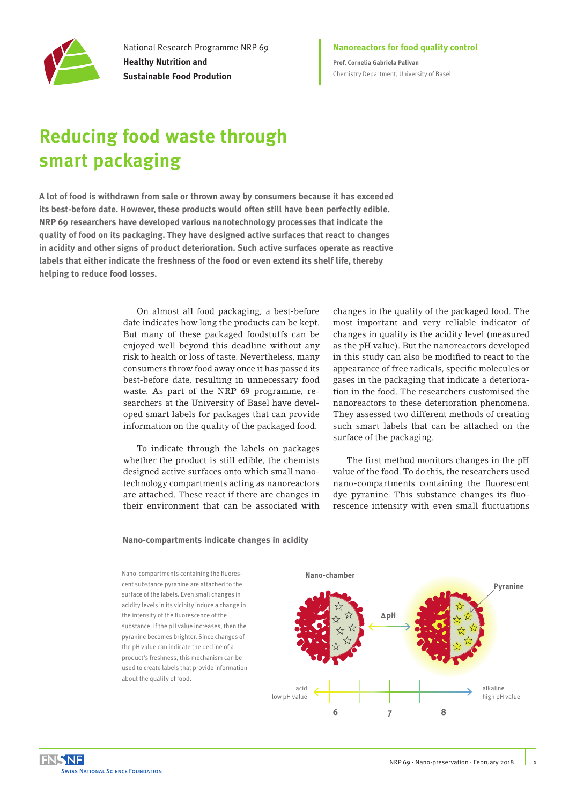

National Research Programme NRP 69 **Healthy Nutrition and Sustainable Food Prodution**

**Nanoreactors for food quality control Prof. Cornelia Gabriela Palivan** Chemistry Department, University of Basel

# **Reducing food waste through smart packaging**

**A lot of food is withdrawn from sale or thrown away by consumers because it has exceeded its best-before date. However, these products would often still have been perfectly edible. NRP 69 researchers have developed various nanotechnology processes that indicate the quality of food on its packaging. They have designed active surfaces that react to changes in acidity and other signs of product deterioration. Such active surfaces operate as reactive labels that either indicate the freshness of the food or even extend its shelf life, thereby helping to reduce food losses.** 

> On almost all food packaging, a best-before date indicates how long the products can be kept. But many of these packaged foodstuffs can be enjoyed well beyond this deadline without any risk to health or loss of taste. Nevertheless, many consumers throw food away once it has passed its best-before date, resulting in unnecessary food waste. As part of the NRP 69 programme, researchers at the University of Basel have developed smart labels for packages that can provide information on the quality of the packaged food.

> To indicate through the labels on packages whether the product is still edible, the chemists designed active surfaces onto which small nanotechnology compartments acting as nanoreactors are attached. These react if there are changes in their environment that can be associated with

changes in the quality of the packaged food. The most important and very reliable indicator of changes in quality is the acidity level (measured as the pH value). But the nanoreactors developed in this study can also be modified to react to the appearance of free radicals, specific molecules or gases in the packaging that indicate a deterioration in the food. The researchers customised the nanoreactors to these deterioration phenomena. They assessed two different methods of creating such smart labels that can be attached on the surface of the packaging.

The first method monitors changes in the pH value of the food. To do this, the researchers used nano-compartments containing the fluorescent dye pyranine. This substance changes its fluorescence intensity with even small fluctuations

### **Nano-compartments indicate changes in acidity**

Nano-compartments containing the fluorescent substance pyranine are attached to the surface of the labels. Even small changes in acidity levels in its vicinity induce a change in the intensity of the fluorescence of the substance. If the pH value increases, then the pyranine becomes brighter. Since changes of the pH value can indicate the decline of a product's freshness, this mechanism can be used to create labels that provide information about the quality of food.